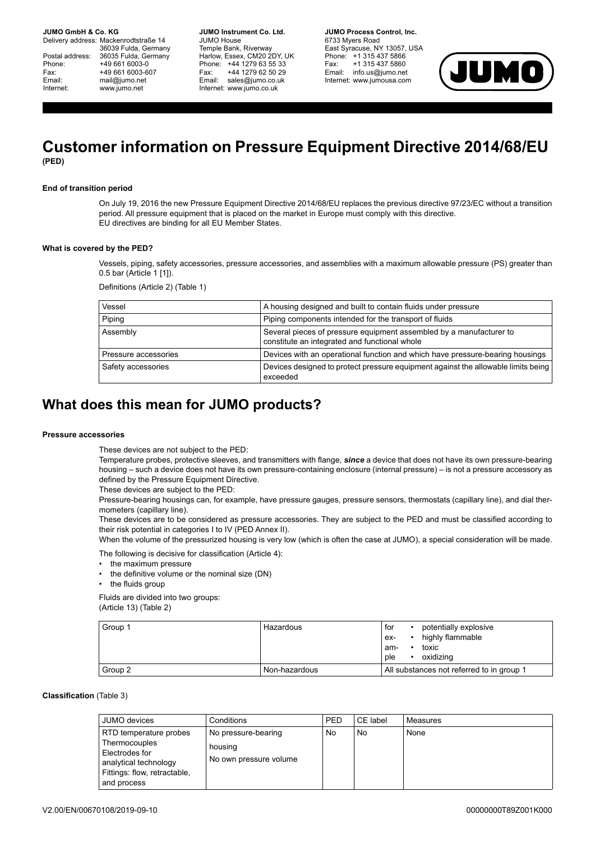**JUMO GmbH & Co. KG.** 

Delivery address: Mackenrodtstraße 14 36039 Fulda, Germany Postal address: 36035 Fulda, Germany<br>Phone: +49 661 6003-0 Phone: +49 661 6003-0<br>Fax: +49 661 6003-6 Fax: +49 661 6003-607<br>
Fmail: mail@iumo.net mail@iumo.net Internet: www.jumo.net

**-BUMO Instrument Co. Ltd.** JUMO House Temple Bank, Riverway Harlow, Essex, CM20 2DY, UK Phone: +44 1279 63 55 33<br>Fax: +44 1279 62 50 29 +44 1279 62 50 29 Email: sales@jumo.co.uk Internet: www.jumo.co.uk

**-BURG Process Control Inc.** 6733 Myers Road East Syracuse, NY 13057, USA Phone: +1 315 437 5866<br>Fax: +1 315 437 5860 +1 315 437 5860 Email: info.us@jumo.net Internet: www.jumousa.com



# **Customer information on Pressure Equipment Directive 2014/68/EU (PED)**

# **End of transition period**

On July 19, 2016 the new Pressure Equipment Directive 2014/68/EU replaces the previous directive 97/23/EC without a transition period. All pressure equipment that is placed on the market in Europe must comply with this directive. EU directives are binding for all EU Member States.

## **What is covered by the PED?**

Vessels, piping, safety accessories, pressure accessories, and assemblies with a maximum allowable pressure (PS) greater than 0.5 bar (Article 1 [1]).

Definitions (Article 2) (Table 1)

| Vessel               | A housing designed and built to contain fluids under pressure                                                        |
|----------------------|----------------------------------------------------------------------------------------------------------------------|
| Piping               | Piping components intended for the transport of fluids                                                               |
| Assembly             | Several pieces of pressure equipment assembled by a manufacturer to<br>constitute an integrated and functional whole |
| Pressure accessories | Devices with an operational function and which have pressure-bearing housings                                        |
| Safety accessories   | Devices designed to protect pressure equipment against the allowable limits being<br>exceeded                        |

# **What does this mean for JUMO products?**

#### **Pressure accessories**

These devices are not subject to the PED:

Temperature probes, protective sleeves, and transmitters with flange, *since* a device that does not have its own pressure-bearing housing – such a device does not have its own pressure-containing enclosure (internal pressure) – is not a pressure accessory as defined by the Pressure Equipment Directive.

These devices are subject to the PED:

Pressure-bearing housings can, for example, have pressure gauges, pressure sensors, thermostats (capillary line), and dial thermometers (capillary line).

These devices are to be considered as pressure accessories. They are subject to the PED and must be classified according to their risk potential in categories I to IV (PED Annex II).

When the volume of the pressurized housing is very low (which is often the case at JUMO), a special consideration will be made.

The following is decisive for classification (Article 4):

- the maximum pressure
- the definitive volume or the nominal size (DN)
- the fluids group

Fluids are divided into two groups: (Article 13) (Table 2)

| Group 1 | Hazardous     | potentially explosive<br>for<br>highly flammable<br>ex-<br>toxic<br>am-<br>oxidizing<br>ple |
|---------|---------------|---------------------------------------------------------------------------------------------|
| Group 2 | Non-hazardous | All substances not referred to in group 1                                                   |

# **Classification** (Table 3)

| JUMO devices                    | Conditions             | PED | CE label | Measures |
|---------------------------------|------------------------|-----|----------|----------|
| RTD temperature probes          | No pressure-bearing    | No  | No       | None     |
| Thermocouples<br>Electrodes for | housing                |     |          |          |
| analytical technology           | No own pressure volume |     |          |          |
| Fittings: flow, retractable,    |                        |     |          |          |
| and process                     |                        |     |          |          |